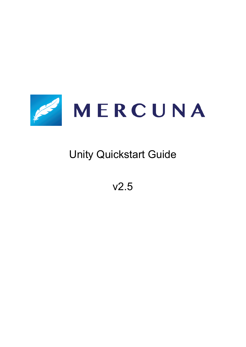

## Unity Quickstart Guide

v2.5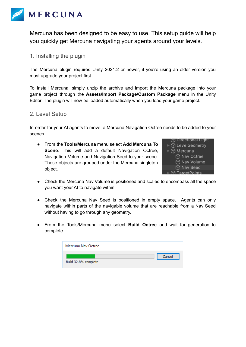

Mercuna has been designed to be easy to use. This setup guide will help you quickly get Mercuna navigating your agents around your levels.

1. Installing the plugin

The Mercuna plugin requires Unity 2021.2 or newer, if you're using an older version you must upgrade your project first.

To install Mercuna, simply unzip the archive and import the Mercuna package into your game project through the **Assets/Import Package/Custom Package** menu in the Unity Editor. The plugin will now be loaded automatically when you load your game project.

## 2. Level Setup

In order for your AI agents to move, a Mercuna Navigation Octree needs to be added to your scenes.

● From the **Tools/Mercuna** menu select **Add Mercuna To Scene**. This will add a default Navigation Octree, Navigation Volume and Navigation Seed to your scene. These objects are grouped under the Mercuna singleton object.



- Check the Mercuna Nav Volume is positioned and scaled to encompass all the space you want your AI to navigate within.
- Check the Mercuna Nav Seed is positioned in empty space. Agents can only navigate within parts of the navigable volume that are reachable from a Nav Seed without having to go through any geometry.
- From the Tools/Mercuna menu select **Build Octree** and wait for generation to complete.

| Mercuna Nav Octree   |        |
|----------------------|--------|
| Build 32.8% complete | Cancel |